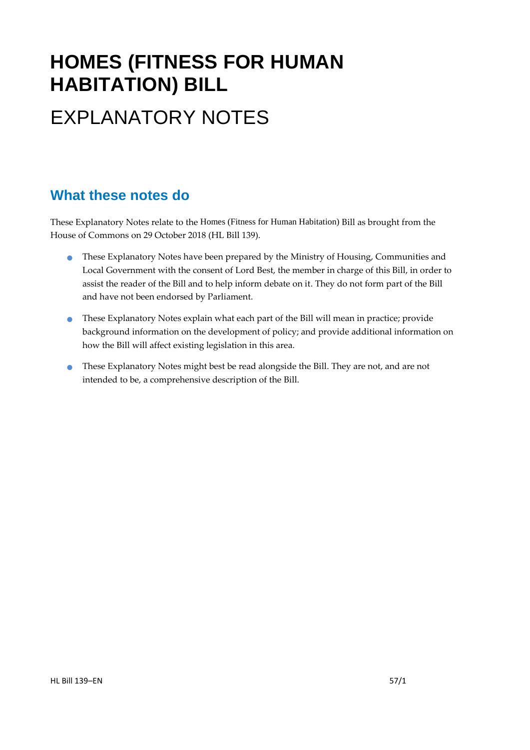# **HOMES (FITNESS FOR HUMAN HABITATION) BILL** EXPLANATORY NOTES

### **What these notes do**

These Explanatory Notes relate to the Homes (Fitness for Human Habitation) Bill as brought from the House of Commons on 29 October 2018 (HL Bill 139).

- **These Explanatory Notes have been prepared by the Ministry of Housing, Communities and** Local Government with the consent of Lord Best, the member in charge of this Bill, in order to assist the reader of the Bill and to help inform debate on it. They do not form part of the Bill and have not been endorsed by Parliament.
- These Explanatory Notes explain what each part of the Bill will mean in practice; provide background information on the development of policy; and provide additional information on how the Bill will affect existing legislation in this area.
- These Explanatory Notes might best be read alongside the Bill. They are not, and are not intended to be, a comprehensive description of the Bill.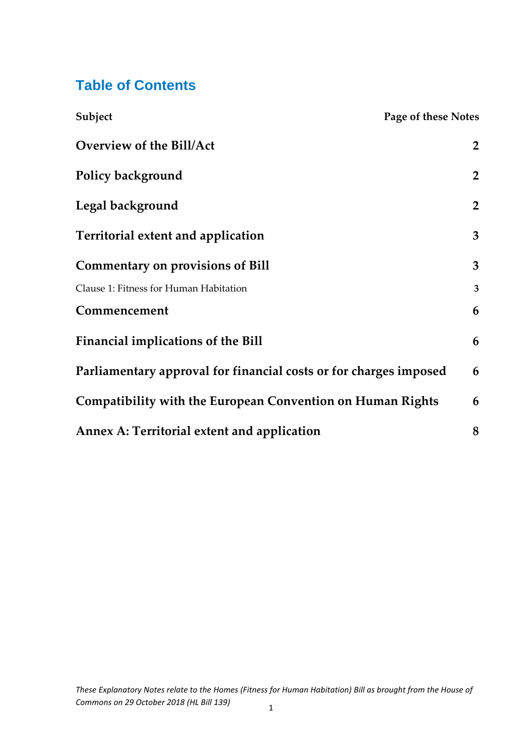## **Table of Contents**

| Subject                                                           | <b>Page of these Notes</b> |
|-------------------------------------------------------------------|----------------------------|
| <b>Overview of the Bill/Act</b>                                   | $\overline{2}$             |
| <b>Policy background</b>                                          | $\overline{2}$             |
| Legal background                                                  | $\overline{2}$             |
| <b>Territorial extent and application</b>                         | 3                          |
| <b>Commentary on provisions of Bill</b>                           | 3                          |
| Clause 1: Fitness for Human Habitation                            | $\mathbf{3}$               |
| Commencement                                                      | 6                          |
| <b>Financial implications of the Bill</b>                         | 6                          |
| Parliamentary approval for financial costs or for charges imposed | 6                          |
| Compatibility with the European Convention on Human Rights        | 6                          |
| <b>Annex A: Territorial extent and application</b>                | 8                          |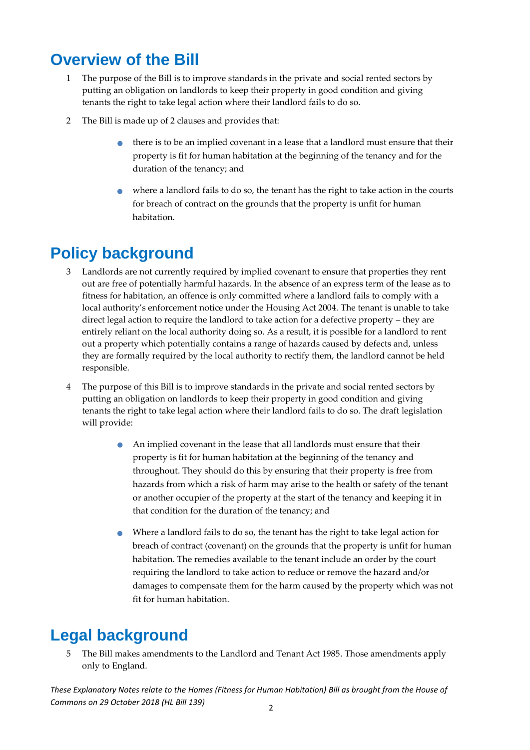## <span id="page-2-0"></span>**Overview of the Bill**

- 1 The purpose of the Bill is to improve standards in the private and social rented sectors by putting an obligation on landlords to keep their property in good condition and giving tenants the right to take legal action where their landlord fails to do so.
- 2 The Bill is made up of 2 clauses and provides that:
	- there is to be an implied covenant in a lease that a landlord must ensure that their property is fit for human habitation at the beginning of the tenancy and for the duration of the tenancy; and
	- where a landlord fails to do so, the tenant has the right to take action in the courts for breach of contract on the grounds that the property is unfit for human habitation.

## <span id="page-2-1"></span>**Policy background**

- 3 Landlords are not currently required by implied covenant to ensure that properties they rent out are free of potentially harmful hazards. In the absence of an express term of the lease as to fitness for habitation, an offence is only committed where a landlord fails to comply with a local authority's enforcement notice under the Housing Act 2004. The tenant is unable to take direct legal action to require the landlord to take action for a defective property – they are entirely reliant on the local authority doing so. As a result, it is possible for a landlord to rent out a property which potentially contains a range of hazards caused by defects and, unless they are formally required by the local authority to rectify them, the landlord cannot be held responsible.
- 4 The purpose of this Bill is to improve standards in the private and social rented sectors by putting an obligation on landlords to keep their property in good condition and giving tenants the right to take legal action where their landlord fails to do so. The draft legislation will provide:
	- An implied covenant in the lease that all landlords must ensure that their property is fit for human habitation at the beginning of the tenancy and throughout. They should do this by ensuring that their property is free from hazards from which a risk of harm may arise to the health or safety of the tenant or another occupier of the property at the start of the tenancy and keeping it in that condition for the duration of the tenancy; and
	- Where a landlord fails to do so, the tenant has the right to take legal action for breach of contract (covenant) on the grounds that the property is unfit for human habitation. The remedies available to the tenant include an order by the court requiring the landlord to take action to reduce or remove the hazard and/or damages to compensate them for the harm caused by the property which was not fit for human habitation.

## <span id="page-2-2"></span>**Legal background**

5 The Bill makes amendments to the Landlord and Tenant Act 1985. Those amendments apply only to England.

*These Explanatory Notes relate to the Homes (Fitness for Human Habitation) Bill as brought from the House of Commons on 29 October 2018 (HL Bill 139)*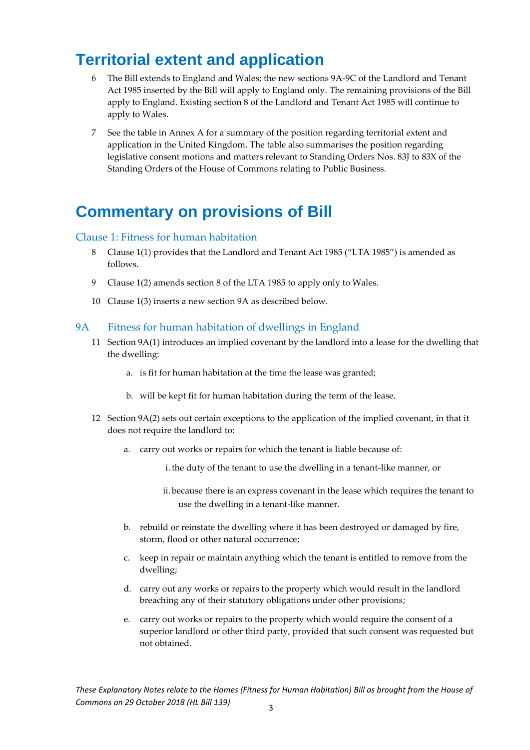## <span id="page-3-0"></span>**Territorial extent and application**

- 6 The Bill extends to England and Wales; the new sections 9A-9C of the Landlord and Tenant Act 1985 inserted by the Bill will apply to England only. The remaining provisions of the Bill apply to England. Existing section 8 of the Landlord and Tenant Act 1985 will continue to apply to Wales.
- 7 See the table in Annex A for a summary of the position regarding territorial extent and application in the United Kingdom. The table also summarises the position regarding legislative consent motions and matters relevant to Standing Orders Nos. 83J to 83X of the Standing Orders of the House of Commons relating to Public Business.

### <span id="page-3-1"></span>**Commentary on provisions of Bill**

#### <span id="page-3-2"></span>Clause 1: Fitness for human habitation

- 8 Clause 1(1) provides that the Landlord and Tenant Act 1985 ("LTA 1985") is amended as follows.
- 9 Clause 1(2) amends section 8 of the LTA 1985 to apply only to Wales.
- 10 Clause 1(3) inserts a new section 9A as described below.

#### 9A Fitness for human habitation of dwellings in England

- 11 Section 9A(1) introduces an implied covenant by the landlord into a lease for the dwelling that the dwelling:
	- a. is fit for human habitation at the time the lease was granted;
	- b. will be kept fit for human habitation during the term of the lease.
- 12 Section 9A(2) sets out certain exceptions to the application of the implied covenant, in that it does not require the landlord to:
	- a. carry out works or repairs for which the tenant is liable because of:
		- i.the duty of the tenant to use the dwelling in a tenant-like manner, or
		- ii. because there is an express covenant in the lease which requires the tenant to use the dwelling in a tenant-like manner.
	- b. rebuild or reinstate the dwelling where it has been destroyed or damaged by fire, storm, flood or other natural occurrence;
	- c. keep in repair or maintain anything which the tenant is entitled to remove from the dwelling;
	- d. carry out any works or repairs to the property which would result in the landlord breaching any of their statutory obligations under other provisions;
	- e. carry out works or repairs to the property which would require the consent of a superior landlord or other third party, provided that such consent was requested but not obtained.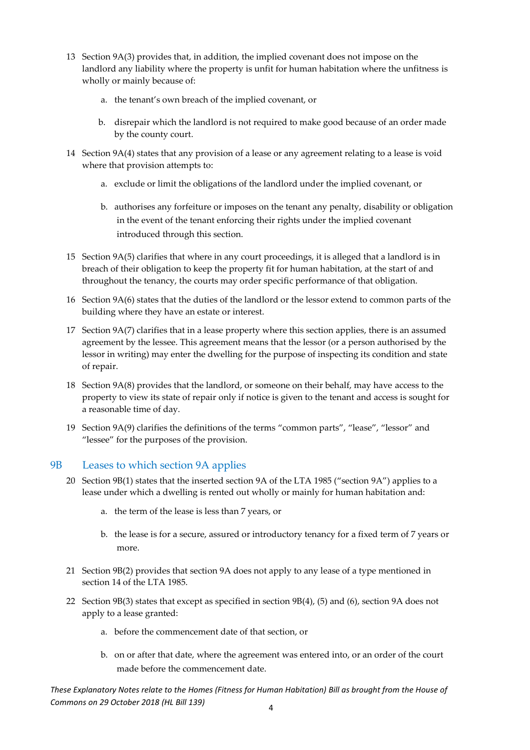- 13 Section 9A(3) provides that, in addition, the implied covenant does not impose on the landlord any liability where the property is unfit for human habitation where the unfitness is wholly or mainly because of:
	- a. the tenant's own breach of the implied covenant, or
	- b. disrepair which the landlord is not required to make good because of an order made by the county court.
- 14 Section 9A(4) states that any provision of a lease or any agreement relating to a lease is void where that provision attempts to:
	- a. exclude or limit the obligations of the landlord under the implied covenant, or
	- b. authorises any forfeiture or imposes on the tenant any penalty, disability or obligation in the event of the tenant enforcing their rights under the implied covenant introduced through this section.
- 15 Section 9A(5) clarifies that where in any court proceedings, it is alleged that a landlord is in breach of their obligation to keep the property fit for human habitation, at the start of and throughout the tenancy, the courts may order specific performance of that obligation.
- 16 Section 9A(6) states that the duties of the landlord or the lessor extend to common parts of the building where they have an estate or interest.
- 17 Section 9A(7) clarifies that in a lease property where this section applies, there is an assumed agreement by the lessee. This agreement means that the lessor (or a person authorised by the lessor in writing) may enter the dwelling for the purpose of inspecting its condition and state of repair.
- 18 Section 9A(8) provides that the landlord, or someone on their behalf, may have access to the property to view its state of repair only if notice is given to the tenant and access is sought for a reasonable time of day.
- 19 Section 9A(9) clarifies the definitions of the terms "common parts", "lease", "lessor" and "lessee" for the purposes of the provision.

#### 9B Leases to which section 9A applies

- 20 Section 9B(1) states that the inserted section 9A of the LTA 1985 ("section 9A") applies to a lease under which a dwelling is rented out wholly or mainly for human habitation and:
	- a. the term of the lease is less than 7 years, or
	- b. the lease is for a secure, assured or introductory tenancy for a fixed term of 7 years or more.
- 21 Section 9B(2) provides that section 9A does not apply to any lease of a type mentioned in section 14 of the LTA 1985.
- 22 Section 9B(3) states that except as specified in section 9B(4), (5) and (6), section 9A does not apply to a lease granted:
	- a. before the commencement date of that section, or
	- b. on or after that date, where the agreement was entered into, or an order of the court made before the commencement date.

*These Explanatory Notes relate to the Homes (Fitness for Human Habitation) Bill as brought from the House of Commons on 29 October 2018 (HL Bill 139)*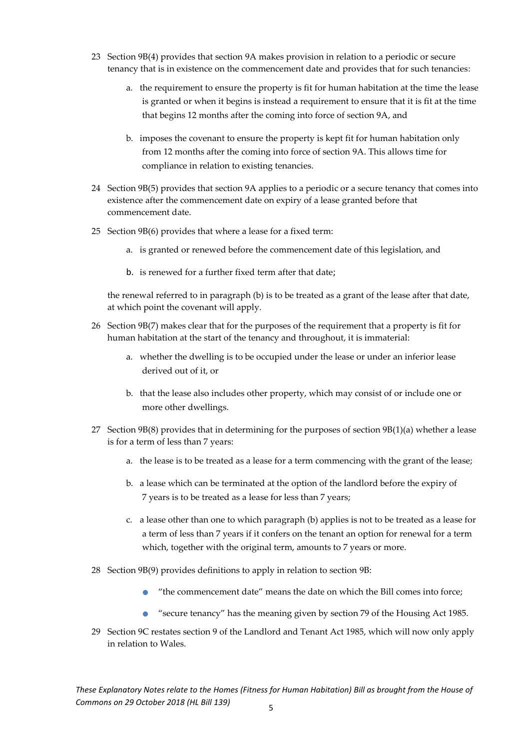- 23 Section 9B(4) provides that section 9A makes provision in relation to a periodic or secure tenancy that is in existence on the commencement date and provides that for such tenancies:
	- a. the requirement to ensure the property is fit for human habitation at the time the lease is granted or when it begins is instead a requirement to ensure that it is fit at the time that begins 12 months after the coming into force of section 9A, and
	- b. imposes the covenant to ensure the property is kept fit for human habitation only from 12 months after the coming into force of section 9A. This allows time for compliance in relation to existing tenancies.
- 24 Section 9B(5) provides that section 9A applies to a periodic or a secure tenancy that comes into existence after the commencement date on expiry of a lease granted before that commencement date.
- 25 Section 9B(6) provides that where a lease for a fixed term:
	- a. is granted or renewed before the commencement date of this legislation, and
	- b. is renewed for a further fixed term after that date;

the renewal referred to in paragraph (b) is to be treated as a grant of the lease after that date, at which point the covenant will apply.

- 26 Section 9B(7) makes clear that for the purposes of the requirement that a property is fit for human habitation at the start of the tenancy and throughout, it is immaterial:
	- a. whether the dwelling is to be occupied under the lease or under an inferior lease derived out of it, or
	- b. that the lease also includes other property, which may consist of or include one or more other dwellings.
- 27 Section 9B(8) provides that in determining for the purposes of section  $9B(1)(a)$  whether a lease is for a term of less than 7 years:
	- a. the lease is to be treated as a lease for a term commencing with the grant of the lease;
	- b. a lease which can be terminated at the option of the landlord before the expiry of 7 years is to be treated as a lease for less than 7 years;
	- c. a lease other than one to which paragraph (b) applies is not to be treated as a lease for a term of less than 7 years if it confers on the tenant an option for renewal for a term which, together with the original term, amounts to 7 years or more.
- 28 Section 9B(9) provides definitions to apply in relation to section 9B:
	- "the commencement date" means the date on which the Bill comes into force;
	- "secure tenancy" has the meaning given by section 79 of the Housing Act 1985.
- 29 Section 9C restates section 9 of the Landlord and Tenant Act 1985, which will now only apply in relation to Wales.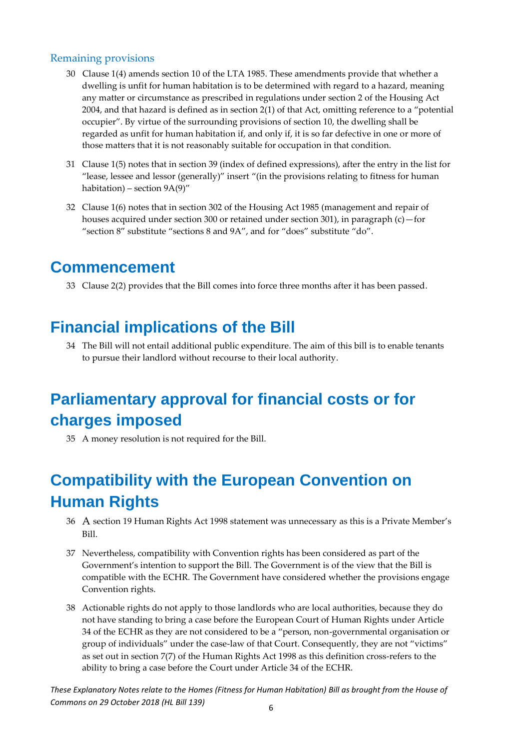#### Remaining provisions

- 30 Clause 1(4) amends section 10 of the LTA 1985. These amendments provide that whether a dwelling is unfit for human habitation is to be determined with regard to a hazard, meaning any matter or circumstance as prescribed in regulations under section 2 of the Housing Act 2004, and that hazard is defined as in section 2(1) of that Act, omitting reference to a "potential occupier". By virtue of the surrounding provisions of section 10, the dwelling shall be regarded as unfit for human habitation if, and only if, it is so far defective in one or more of those matters that it is not reasonably suitable for occupation in that condition.
- 31 Clause 1(5) notes that in section 39 (index of defined expressions), after the entry in the list for "lease, lessee and lessor (generally)" insert "(in the provisions relating to fitness for human habitation) – section 9A(9)"
- 32 Clause 1(6) notes that in section 302 of the Housing Act 1985 (management and repair of houses acquired under section 300 or retained under section 301), in paragraph (c)—for "section 8" substitute "sections 8 and 9A", and for "does" substitute "do".

### <span id="page-6-0"></span>**Commencement**

33 Clause 2(2) provides that the Bill comes into force three months after it has been passed.

### <span id="page-6-1"></span>**Financial implications of the Bill**

34 The Bill will not entail additional public expenditure. The aim of this bill is to enable tenants to pursue their landlord without recourse to their local authority.

## <span id="page-6-2"></span>**Parliamentary approval for financial costs or for charges imposed**

35 A money resolution is not required for the Bill.

## <span id="page-6-3"></span>**Compatibility with the European Convention on Human Rights**

- 36 A section 19 Human Rights Act 1998 statement was unnecessary as this is a Private Member's Bill.
- 37 Nevertheless, compatibility with Convention rights has been considered as part of the Government's intention to support the Bill. The Government is of the view that the Bill is compatible with the ECHR. The Government have considered whether the provisions engage Convention rights.
- 38 Actionable rights do not apply to those landlords who are local authorities, because they do not have standing to bring a case before the European Court of Human Rights under Article 34 of the ECHR as they are not considered to be a "person, non-governmental organisation or group of individuals" under the case-law of that Court. Consequently, they are not "victims" as set out in section 7(7) of the Human Rights Act 1998 as this definition cross-refers to the ability to bring a case before the Court under Article 34 of the ECHR.

*These Explanatory Notes relate to the Homes (Fitness for Human Habitation) Bill as brought from the House of Commons on 29 October 2018 (HL Bill 139)*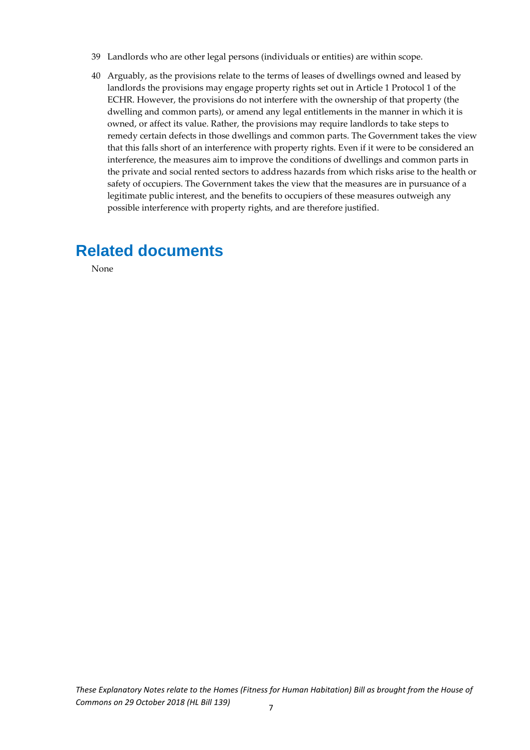- 39 Landlords who are other legal persons (individuals or entities) are within scope.
- 40 Arguably, as the provisions relate to the terms of leases of dwellings owned and leased by landlords the provisions may engage property rights set out in Article 1 Protocol 1 of the ECHR. However, the provisions do not interfere with the ownership of that property (the dwelling and common parts), or amend any legal entitlements in the manner in which it is owned, or affect its value. Rather, the provisions may require landlords to take steps to remedy certain defects in those dwellings and common parts. The Government takes the view that this falls short of an interference with property rights. Even if it were to be considered an interference, the measures aim to improve the conditions of dwellings and common parts in the private and social rented sectors to address hazards from which risks arise to the health or safety of occupiers. The Government takes the view that the measures are in pursuance of a legitimate public interest, and the benefits to occupiers of these measures outweigh any possible interference with property rights, and are therefore justified.

## **Related documents**

None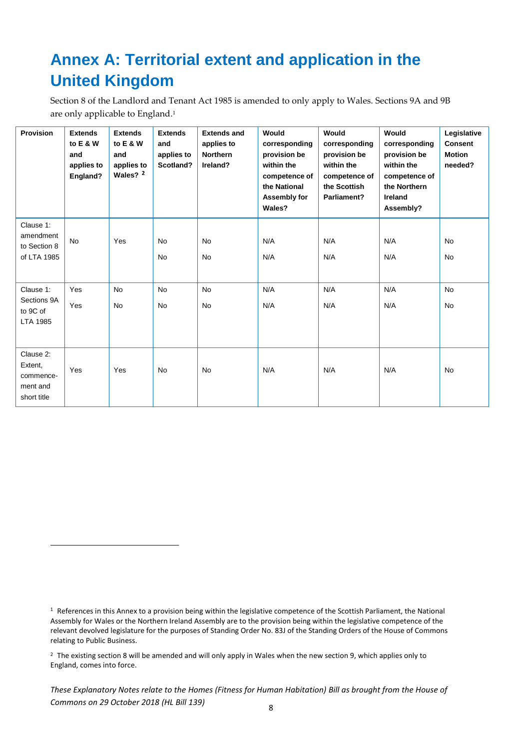## <span id="page-8-0"></span>**Annex A: Territorial extent and application in the United Kingdom**

Section 8 of the Landlord and Tenant Act 1985 is amended to only apply to Wales. Sections 9A and 9B are only applicable to England. 1

| <b>Provision</b>                                             | <b>Extends</b><br>to $E & W$<br>and<br>applies to<br>England? | <b>Extends</b><br>to E & W<br>and<br>applies to<br>Wales? 2 | <b>Extends</b><br>and<br>applies to<br>Scotland? | <b>Extends and</b><br>applies to<br><b>Northern</b><br>Ireland? | Would<br>corresponding<br>provision be<br>within the<br>competence of<br>the National<br>Assembly for<br>Wales? | Would<br>corresponding<br>provision be<br>within the<br>competence of<br>the Scottish<br>Parliament? | Would<br>corresponding<br>provision be<br>within the<br>competence of<br>the Northern<br><b>Ireland</b><br>Assembly? | Legislative<br><b>Consent</b><br><b>Motion</b><br>needed? |
|--------------------------------------------------------------|---------------------------------------------------------------|-------------------------------------------------------------|--------------------------------------------------|-----------------------------------------------------------------|-----------------------------------------------------------------------------------------------------------------|------------------------------------------------------------------------------------------------------|----------------------------------------------------------------------------------------------------------------------|-----------------------------------------------------------|
| Clause 1:<br>amendment<br>to Section 8<br>of LTA 1985        | <b>No</b>                                                     | Yes                                                         | <b>No</b><br><b>No</b>                           | <b>No</b><br><b>No</b>                                          | N/A<br>N/A                                                                                                      | N/A<br>N/A                                                                                           | N/A<br>N/A                                                                                                           | No.<br><b>No</b>                                          |
| Clause 1:                                                    | Yes                                                           | <b>No</b>                                                   | <b>No</b>                                        | <b>No</b>                                                       | N/A                                                                                                             | N/A                                                                                                  | N/A                                                                                                                  | <b>No</b>                                                 |
| Sections 9A<br>to 9C of<br>LTA 1985                          | Yes                                                           | <b>No</b>                                                   | <b>No</b>                                        | <b>No</b>                                                       | N/A                                                                                                             | N/A                                                                                                  | N/A                                                                                                                  | <b>No</b>                                                 |
| Clause 2:<br>Extent,<br>commence-<br>ment and<br>short title | Yes                                                           | Yes                                                         | <b>No</b>                                        | No                                                              | N/A                                                                                                             | N/A                                                                                                  | N/A                                                                                                                  | No                                                        |

**.** 

<sup>&</sup>lt;sup>1</sup> References in this Annex to a provision being within the legislative competence of the Scottish Parliament, the National Assembly for Wales or the Northern Ireland Assembly are to the provision being within the legislative competence of the relevant devolved legislature for the purposes of Standing Order No. 83J of the Standing Orders of the House of Commons relating to Public Business.

<sup>2</sup> The existing section 8 will be amended and will only apply in Wales when the new section 9, which applies only to England, comes into force.

*These Explanatory Notes relate to the Homes (Fitness for Human Habitation) Bill as brought from the House of Commons on 29 October 2018 (HL Bill 139)*